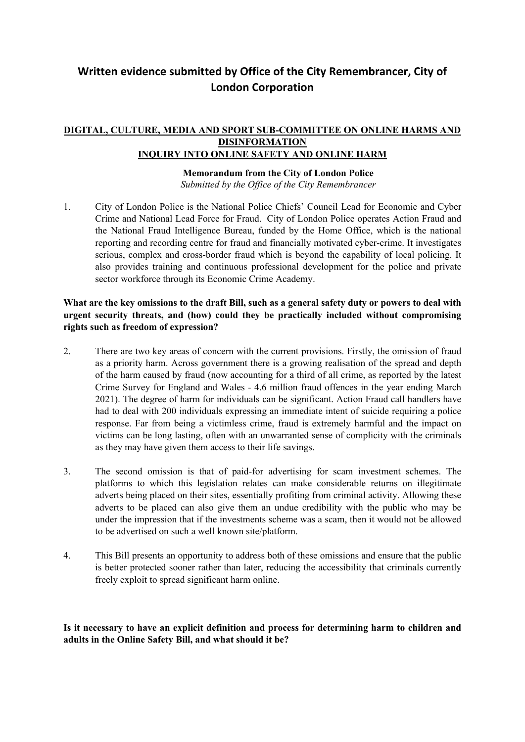## **Written evidence submitted by Office of the City Remembrancer, City of London Corporation**

## **DIGITAL, CULTURE, MEDIA AND SPORT SUB-COMMITTEE ON ONLINE HARMS AND DISINFORMATION INQUIRY INTO ONLINE SAFETY AND ONLINE HARM**

## **Memorandum from the City of London Police**

*Submitted by the Office of the City Remembrancer*

1. City of London Police is the National Police Chiefs' Council Lead for Economic and Cyber Crime and National Lead Force for Fraud. City of London Police operates Action Fraud and the National Fraud Intelligence Bureau, funded by the Home Office, which is the national reporting and recording centre for fraud and financially motivated cyber-crime. It investigates serious, complex and cross-border fraud which is beyond the capability of local policing. It also provides training and continuous professional development for the police and private sector workforce through its Economic Crime Academy.

## What are the key omissions to the draft Bill, such as a general safety duty or powers to deal with **urgent security threats, and (how) could they be practically included without compromising rights such as freedom of expression?**

- 2. There are two key areas of concern with the current provisions. Firstly, the omission of fraud as a priority harm. Across government there is a growing realisation of the spread and depth of the harm caused by fraud (now accounting for a third of all crime, as reported by the latest Crime Survey for England and Wales - 4.6 million fraud offences in the year ending March 2021). The degree of harm for individuals can be significant. Action Fraud call handlers have had to deal with 200 individuals expressing an immediate intent of suicide requiring a police response. Far from being a victimless crime, fraud is extremely harmful and the impact on victims can be long lasting, often with an unwarranted sense of complicity with the criminals as they may have given them access to their life savings.
- 3. The second omission is that of paid-for advertising for scam investment schemes. The platforms to which this legislation relates can make considerable returns on illegitimate adverts being placed on their sites, essentially profiting from criminal activity. Allowing these adverts to be placed can also give them an undue credibility with the public who may be under the impression that if the investments scheme was a scam, then it would not be allowed to be advertised on such a well known site/platform.
- 4. This Bill presents an opportunity to address both of these omissions and ensure that the public is better protected sooner rather than later, reducing the accessibility that criminals currently freely exploit to spread significant harm online.

**Is it necessary to have an explicit definition and process for determining harm to children and adults in the Online Safety Bill, and what should it be?**